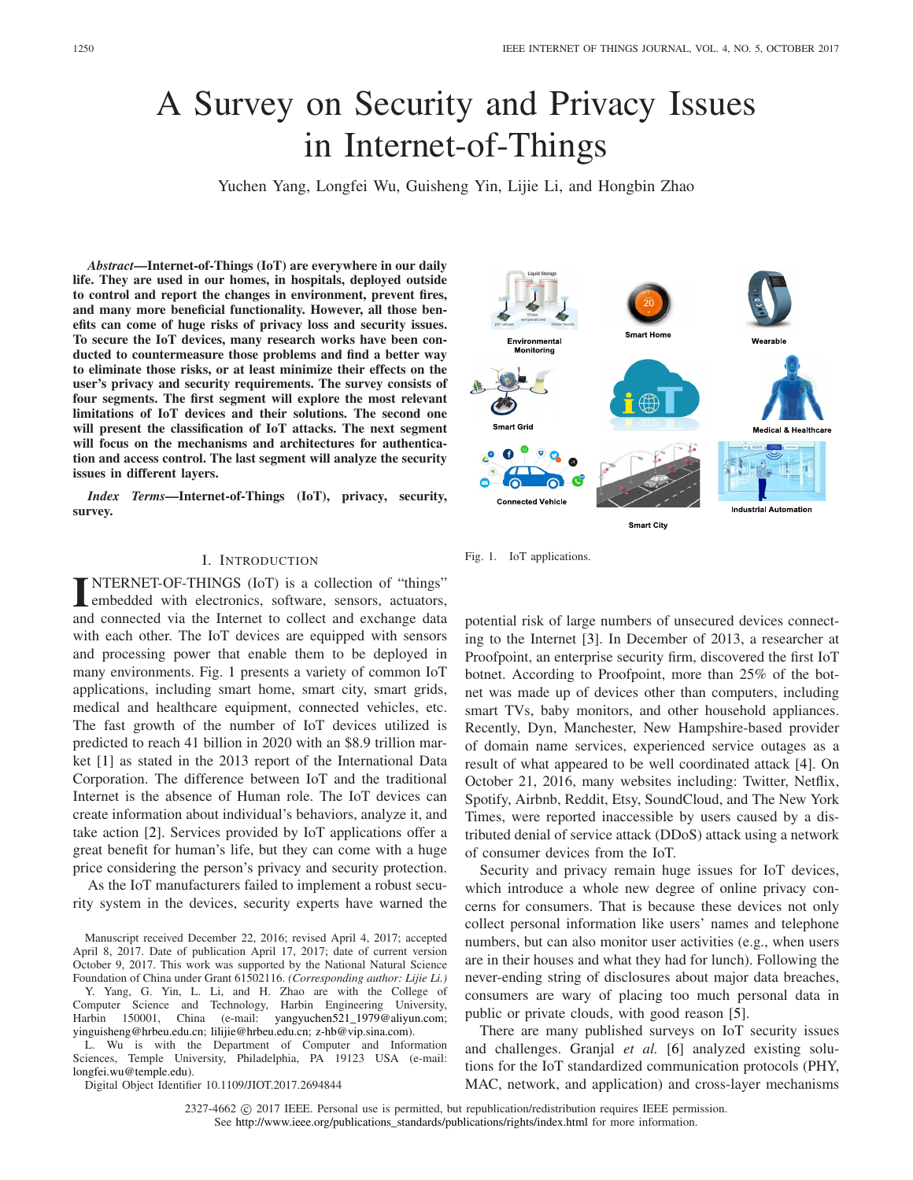# A Survey on Security and Privacy Issues in Internet-of-Things

Yuchen Yang, Longfei Wu, Guisheng Yin, Lijie Li, and Hongbin Zhao

*Abstract***—Internet-of-Things (IoT) are everywhere in our daily life. They are used in our homes, in hospitals, deployed outside to control and report the changes in environment, prevent fires, and many more beneficial functionality. However, all those benefits can come of huge risks of privacy loss and security issues. To secure the IoT devices, many research works have been conducted to countermeasure those problems and find a better way to eliminate those risks, or at least minimize their effects on the user's privacy and security requirements. The survey consists of four segments. The first segment will explore the most relevant limitations of IoT devices and their solutions. The second one will present the classification of IoT attacks. The next segment will focus on the mechanisms and architectures for authentication and access control. The last segment will analyze the security issues in different layers.**

*Index Terms***—Internet-of-Things (IoT), privacy, security, survey.**

## I. INTRODUCTION

**I**NTERNET-OF-THINGS (IoT) is a collection of "things" embedded with electronics, software, sensors, actuators, NTERNET-OF-THINGS (IoT) is a collection of "things" and connected via the Internet to collect and exchange data with each other. The IoT devices are equipped with sensors and processing power that enable them to be deployed in many environments. Fig. 1 presents a variety of common IoT applications, including smart home, smart city, smart grids, medical and healthcare equipment, connected vehicles, etc. The fast growth of the number of IoT devices utilized is predicted to reach 41 billion in 2020 with an \$8.9 trillion market [1] as stated in the 2013 report of the International Data Corporation. The difference between IoT and the traditional Internet is the absence of Human role. The IoT devices can create information about individual's behaviors, analyze it, and take action [2]. Services provided by IoT applications offer a great benefit for human's life, but they can come with a huge price considering the person's privacy and security protection.

As the IoT manufacturers failed to implement a robust security system in the devices, security experts have warned the

Manuscript received December 22, 2016; revised April 4, 2017; accepted April 8, 2017. Date of publication April 17, 2017; date of current version October 9, 2017. This work was supported by the National Natural Science Foundation of China under Grant 61502116. *(Corresponding author: Lijie Li.)* Y. Yang, G. Yin, L. Li, and H. Zhao are with the College of Computer Science and Technology, Harbin Engineering University, Harbin 150001, China (e-mail: yangyuchen521\_1979@aliyun.com; yinguisheng@hrbeu.edu.cn; lilijie@hrbeu.edu.cn; z-hb@vip.sina.com).

L. Wu is with the Department of Computer and Information Sciences, Temple University, Philadelphia, PA 19123 USA (e-mail: longfei.wu@temple.edu).

Digital Object Identifier 10.1109/JIOT.2017.2694844



Fig. 1. IoT applications.

potential risk of large numbers of unsecured devices connecting to the Internet [3]. In December of 2013, a researcher at Proofpoint, an enterprise security firm, discovered the first IoT botnet. According to Proofpoint, more than 25% of the botnet was made up of devices other than computers, including smart TVs, baby monitors, and other household appliances. Recently, Dyn, Manchester, New Hampshire-based provider of domain name services, experienced service outages as a result of what appeared to be well coordinated attack [4]. On October 21, 2016, many websites including: Twitter, Netflix, Spotify, Airbnb, Reddit, Etsy, SoundCloud, and The New York Times, were reported inaccessible by users caused by a distributed denial of service attack (DDoS) attack using a network of consumer devices from the IoT.

Security and privacy remain huge issues for IoT devices, which introduce a whole new degree of online privacy concerns for consumers. That is because these devices not only collect personal information like users' names and telephone numbers, but can also monitor user activities (e.g., when users are in their houses and what they had for lunch). Following the never-ending string of disclosures about major data breaches, consumers are wary of placing too much personal data in public or private clouds, with good reason [5].

There are many published surveys on IoT security issues and challenges. Granjal *et al.* [6] analyzed existing solutions for the IoT standardized communication protocols (PHY, MAC, network, and application) and cross-layer mechanisms

2327-4662  $\odot$  2017 IEEE. Personal use is permitted, but republication/redistribution requires IEEE permission. See http://www.ieee.org/publications\_standards/publications/rights/index.html for more information.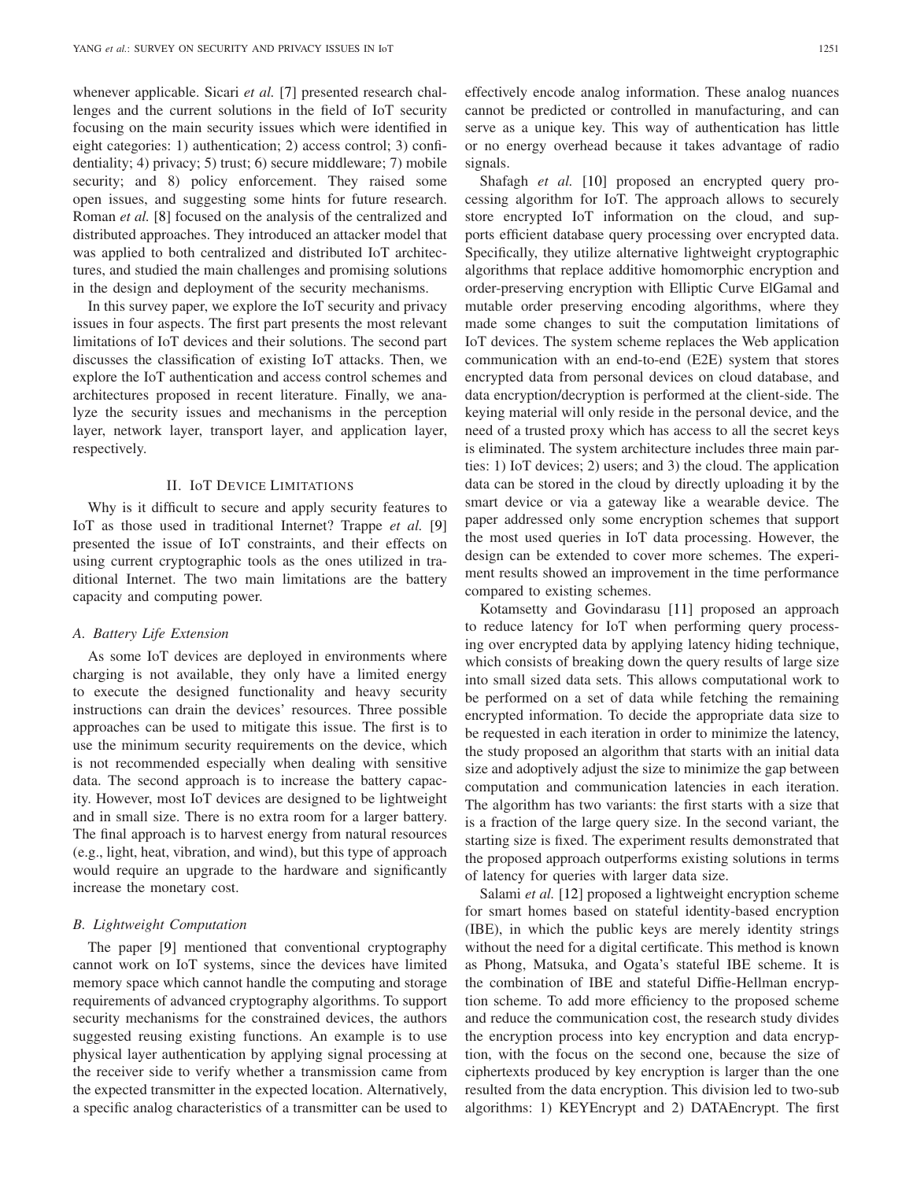whenever applicable. Sicari *et al.* [7] presented research challenges and the current solutions in the field of IoT security focusing on the main security issues which were identified in eight categories: 1) authentication; 2) access control; 3) confidentiality; 4) privacy; 5) trust; 6) secure middleware; 7) mobile security; and 8) policy enforcement. They raised some open issues, and suggesting some hints for future research. Roman *et al.* [8] focused on the analysis of the centralized and distributed approaches. They introduced an attacker model that was applied to both centralized and distributed IoT architectures, and studied the main challenges and promising solutions in the design and deployment of the security mechanisms.

In this survey paper, we explore the IoT security and privacy issues in four aspects. The first part presents the most relevant limitations of IoT devices and their solutions. The second part discusses the classification of existing IoT attacks. Then, we explore the IoT authentication and access control schemes and architectures proposed in recent literature. Finally, we analyze the security issues and mechanisms in the perception layer, network layer, transport layer, and application layer, respectively.

## II. IoT DEVICE LIMITATIONS

Why is it difficult to secure and apply security features to IoT as those used in traditional Internet? Trappe *et al.* [9] presented the issue of IoT constraints, and their effects on using current cryptographic tools as the ones utilized in traditional Internet. The two main limitations are the battery capacity and computing power.

#### *A. Battery Life Extension*

As some IoT devices are deployed in environments where charging is not available, they only have a limited energy to execute the designed functionality and heavy security instructions can drain the devices' resources. Three possible approaches can be used to mitigate this issue. The first is to use the minimum security requirements on the device, which is not recommended especially when dealing with sensitive data. The second approach is to increase the battery capacity. However, most IoT devices are designed to be lightweight and in small size. There is no extra room for a larger battery. The final approach is to harvest energy from natural resources (e.g., light, heat, vibration, and wind), but this type of approach would require an upgrade to the hardware and significantly increase the monetary cost.

## *B. Lightweight Computation*

The paper [9] mentioned that conventional cryptography cannot work on IoT systems, since the devices have limited memory space which cannot handle the computing and storage requirements of advanced cryptography algorithms. To support security mechanisms for the constrained devices, the authors suggested reusing existing functions. An example is to use physical layer authentication by applying signal processing at the receiver side to verify whether a transmission came from the expected transmitter in the expected location. Alternatively, a specific analog characteristics of a transmitter can be used to effectively encode analog information. These analog nuances cannot be predicted or controlled in manufacturing, and can serve as a unique key. This way of authentication has little or no energy overhead because it takes advantage of radio signals.

Shafagh *et al.* [10] proposed an encrypted query processing algorithm for IoT. The approach allows to securely store encrypted IoT information on the cloud, and supports efficient database query processing over encrypted data. Specifically, they utilize alternative lightweight cryptographic algorithms that replace additive homomorphic encryption and order-preserving encryption with Elliptic Curve ElGamal and mutable order preserving encoding algorithms, where they made some changes to suit the computation limitations of IoT devices. The system scheme replaces the Web application communication with an end-to-end (E2E) system that stores encrypted data from personal devices on cloud database, and data encryption/decryption is performed at the client-side. The keying material will only reside in the personal device, and the need of a trusted proxy which has access to all the secret keys is eliminated. The system architecture includes three main parties: 1) IoT devices; 2) users; and 3) the cloud. The application data can be stored in the cloud by directly uploading it by the smart device or via a gateway like a wearable device. The paper addressed only some encryption schemes that support the most used queries in IoT data processing. However, the design can be extended to cover more schemes. The experiment results showed an improvement in the time performance compared to existing schemes.

Kotamsetty and Govindarasu [11] proposed an approach to reduce latency for IoT when performing query processing over encrypted data by applying latency hiding technique, which consists of breaking down the query results of large size into small sized data sets. This allows computational work to be performed on a set of data while fetching the remaining encrypted information. To decide the appropriate data size to be requested in each iteration in order to minimize the latency, the study proposed an algorithm that starts with an initial data size and adoptively adjust the size to minimize the gap between computation and communication latencies in each iteration. The algorithm has two variants: the first starts with a size that is a fraction of the large query size. In the second variant, the starting size is fixed. The experiment results demonstrated that the proposed approach outperforms existing solutions in terms of latency for queries with larger data size.

Salami *et al.* [12] proposed a lightweight encryption scheme for smart homes based on stateful identity-based encryption (IBE), in which the public keys are merely identity strings without the need for a digital certificate. This method is known as Phong, Matsuka, and Ogata's stateful IBE scheme. It is the combination of IBE and stateful Diffie-Hellman encryption scheme. To add more efficiency to the proposed scheme and reduce the communication cost, the research study divides the encryption process into key encryption and data encryption, with the focus on the second one, because the size of ciphertexts produced by key encryption is larger than the one resulted from the data encryption. This division led to two-sub algorithms: 1) KEYEncrypt and 2) DATAEncrypt. The first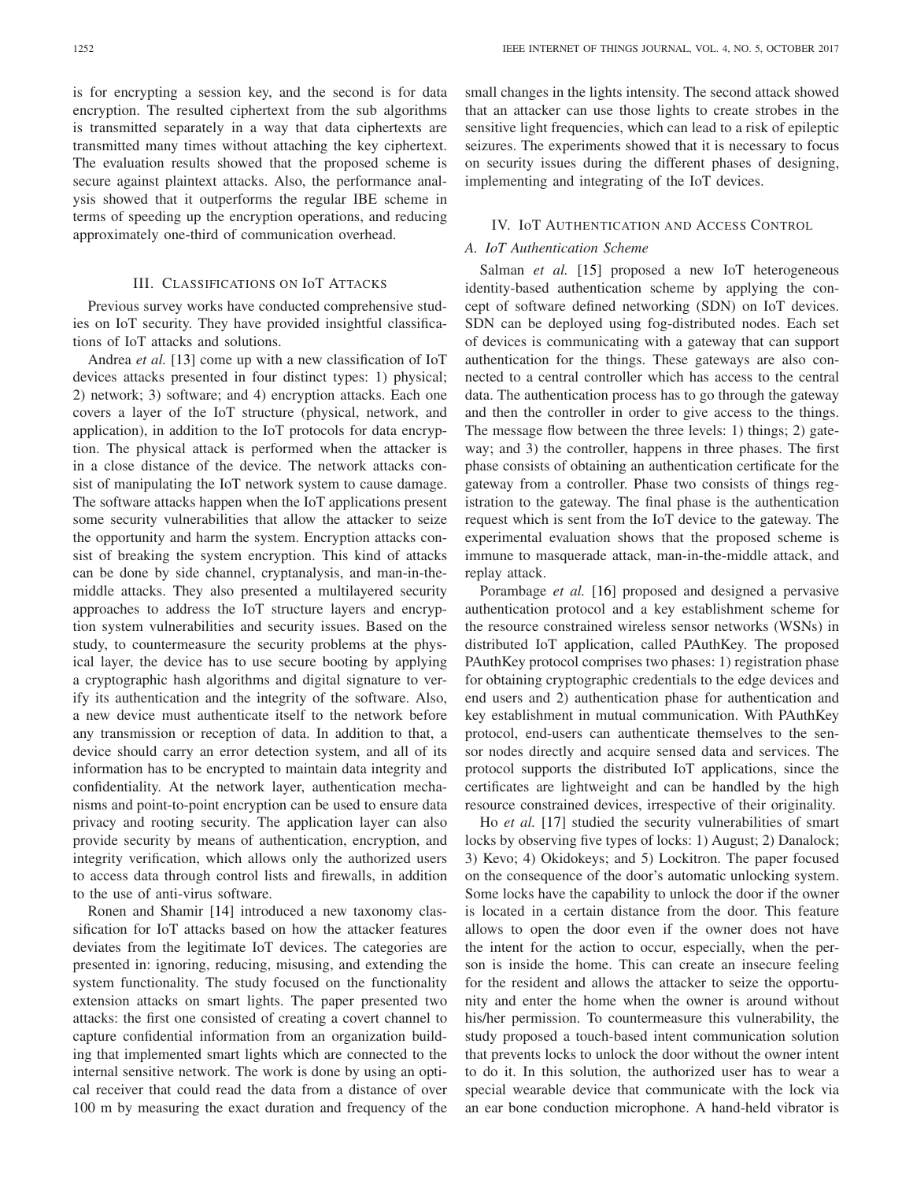#### III. CLASSIFICATIONS ON IoT ATTACKS

Previous survey works have conducted comprehensive studies on IoT security. They have provided insightful classifications of IoT attacks and solutions.

Andrea *et al.* [13] come up with a new classification of IoT devices attacks presented in four distinct types: 1) physical; 2) network; 3) software; and 4) encryption attacks. Each one covers a layer of the IoT structure (physical, network, and application), in addition to the IoT protocols for data encryption. The physical attack is performed when the attacker is in a close distance of the device. The network attacks consist of manipulating the IoT network system to cause damage. The software attacks happen when the IoT applications present some security vulnerabilities that allow the attacker to seize the opportunity and harm the system. Encryption attacks consist of breaking the system encryption. This kind of attacks can be done by side channel, cryptanalysis, and man-in-themiddle attacks. They also presented a multilayered security approaches to address the IoT structure layers and encryption system vulnerabilities and security issues. Based on the study, to countermeasure the security problems at the physical layer, the device has to use secure booting by applying a cryptographic hash algorithms and digital signature to verify its authentication and the integrity of the software. Also, a new device must authenticate itself to the network before any transmission or reception of data. In addition to that, a device should carry an error detection system, and all of its information has to be encrypted to maintain data integrity and confidentiality. At the network layer, authentication mechanisms and point-to-point encryption can be used to ensure data privacy and rooting security. The application layer can also provide security by means of authentication, encryption, and integrity verification, which allows only the authorized users to access data through control lists and firewalls, in addition to the use of anti-virus software.

Ronen and Shamir [14] introduced a new taxonomy classification for IoT attacks based on how the attacker features deviates from the legitimate IoT devices. The categories are presented in: ignoring, reducing, misusing, and extending the system functionality. The study focused on the functionality extension attacks on smart lights. The paper presented two attacks: the first one consisted of creating a covert channel to capture confidential information from an organization building that implemented smart lights which are connected to the internal sensitive network. The work is done by using an optical receiver that could read the data from a distance of over 100 m by measuring the exact duration and frequency of the small changes in the lights intensity. The second attack showed that an attacker can use those lights to create strobes in the sensitive light frequencies, which can lead to a risk of epileptic seizures. The experiments showed that it is necessary to focus on security issues during the different phases of designing, implementing and integrating of the IoT devices.

# IV. IoT AUTHENTICATION AND ACCESS CONTROL

# *A. IoT Authentication Scheme*

Salman *et al.* [15] proposed a new IoT heterogeneous identity-based authentication scheme by applying the concept of software defined networking (SDN) on IoT devices. SDN can be deployed using fog-distributed nodes. Each set of devices is communicating with a gateway that can support authentication for the things. These gateways are also connected to a central controller which has access to the central data. The authentication process has to go through the gateway and then the controller in order to give access to the things. The message flow between the three levels: 1) things; 2) gateway; and 3) the controller, happens in three phases. The first phase consists of obtaining an authentication certificate for the gateway from a controller. Phase two consists of things registration to the gateway. The final phase is the authentication request which is sent from the IoT device to the gateway. The experimental evaluation shows that the proposed scheme is immune to masquerade attack, man-in-the-middle attack, and replay attack.

Porambage *et al.* [16] proposed and designed a pervasive authentication protocol and a key establishment scheme for the resource constrained wireless sensor networks (WSNs) in distributed IoT application, called PAuthKey. The proposed PAuthKey protocol comprises two phases: 1) registration phase for obtaining cryptographic credentials to the edge devices and end users and 2) authentication phase for authentication and key establishment in mutual communication. With PAuthKey protocol, end-users can authenticate themselves to the sensor nodes directly and acquire sensed data and services. The protocol supports the distributed IoT applications, since the certificates are lightweight and can be handled by the high resource constrained devices, irrespective of their originality.

Ho *et al.* [17] studied the security vulnerabilities of smart locks by observing five types of locks: 1) August; 2) Danalock; 3) Kevo; 4) Okidokeys; and 5) Lockitron. The paper focused on the consequence of the door's automatic unlocking system. Some locks have the capability to unlock the door if the owner is located in a certain distance from the door. This feature allows to open the door even if the owner does not have the intent for the action to occur, especially, when the person is inside the home. This can create an insecure feeling for the resident and allows the attacker to seize the opportunity and enter the home when the owner is around without his/her permission. To countermeasure this vulnerability, the study proposed a touch-based intent communication solution that prevents locks to unlock the door without the owner intent to do it. In this solution, the authorized user has to wear a special wearable device that communicate with the lock via an ear bone conduction microphone. A hand-held vibrator is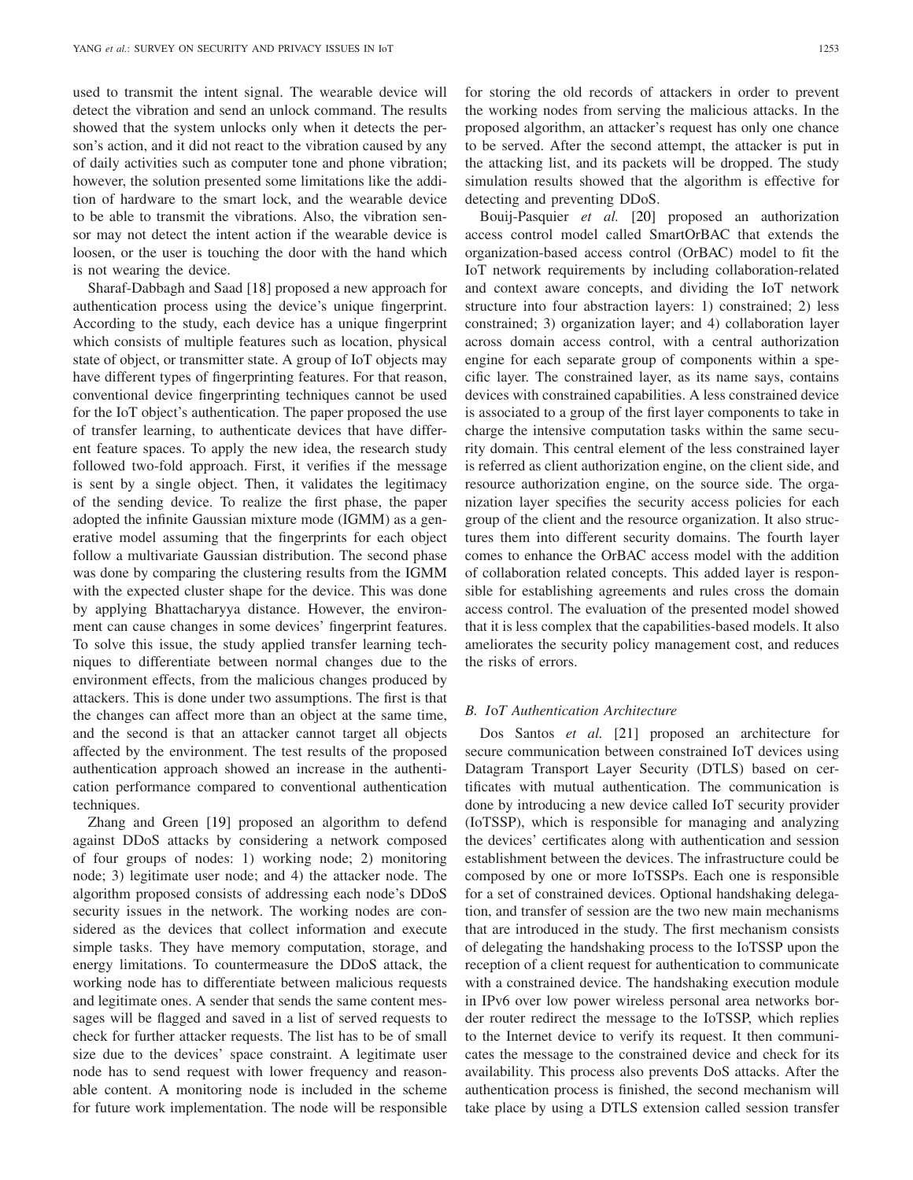used to transmit the intent signal. The wearable device will detect the vibration and send an unlock command. The results showed that the system unlocks only when it detects the person's action, and it did not react to the vibration caused by any of daily activities such as computer tone and phone vibration; however, the solution presented some limitations like the addition of hardware to the smart lock, and the wearable device to be able to transmit the vibrations. Also, the vibration sensor may not detect the intent action if the wearable device is loosen, or the user is touching the door with the hand which is not wearing the device.

Sharaf-Dabbagh and Saad [18] proposed a new approach for authentication process using the device's unique fingerprint. According to the study, each device has a unique fingerprint which consists of multiple features such as location, physical state of object, or transmitter state. A group of IoT objects may have different types of fingerprinting features. For that reason, conventional device fingerprinting techniques cannot be used for the IoT object's authentication. The paper proposed the use of transfer learning, to authenticate devices that have different feature spaces. To apply the new idea, the research study followed two-fold approach. First, it verifies if the message is sent by a single object. Then, it validates the legitimacy of the sending device. To realize the first phase, the paper adopted the infinite Gaussian mixture mode (IGMM) as a generative model assuming that the fingerprints for each object follow a multivariate Gaussian distribution. The second phase was done by comparing the clustering results from the IGMM with the expected cluster shape for the device. This was done by applying Bhattacharyya distance. However, the environment can cause changes in some devices' fingerprint features. To solve this issue, the study applied transfer learning techniques to differentiate between normal changes due to the environment effects, from the malicious changes produced by attackers. This is done under two assumptions. The first is that the changes can affect more than an object at the same time, and the second is that an attacker cannot target all objects affected by the environment. The test results of the proposed authentication approach showed an increase in the authentication performance compared to conventional authentication techniques.

Zhang and Green [19] proposed an algorithm to defend against DDoS attacks by considering a network composed of four groups of nodes: 1) working node; 2) monitoring node; 3) legitimate user node; and 4) the attacker node. The algorithm proposed consists of addressing each node's DDoS security issues in the network. The working nodes are considered as the devices that collect information and execute simple tasks. They have memory computation, storage, and energy limitations. To countermeasure the DDoS attack, the working node has to differentiate between malicious requests and legitimate ones. A sender that sends the same content messages will be flagged and saved in a list of served requests to check for further attacker requests. The list has to be of small size due to the devices' space constraint. A legitimate user node has to send request with lower frequency and reasonable content. A monitoring node is included in the scheme for future work implementation. The node will be responsible for storing the old records of attackers in order to prevent the working nodes from serving the malicious attacks. In the proposed algorithm, an attacker's request has only one chance to be served. After the second attempt, the attacker is put in the attacking list, and its packets will be dropped. The study simulation results showed that the algorithm is effective for detecting and preventing DDoS.

Bouij-Pasquier *et al.* [20] proposed an authorization access control model called SmartOrBAC that extends the organization-based access control (OrBAC) model to fit the IoT network requirements by including collaboration-related and context aware concepts, and dividing the IoT network structure into four abstraction layers: 1) constrained; 2) less constrained; 3) organization layer; and 4) collaboration layer across domain access control, with a central authorization engine for each separate group of components within a specific layer. The constrained layer, as its name says, contains devices with constrained capabilities. A less constrained device is associated to a group of the first layer components to take in charge the intensive computation tasks within the same security domain. This central element of the less constrained layer is referred as client authorization engine, on the client side, and resource authorization engine, on the source side. The organization layer specifies the security access policies for each group of the client and the resource organization. It also structures them into different security domains. The fourth layer comes to enhance the OrBAC access model with the addition of collaboration related concepts. This added layer is responsible for establishing agreements and rules cross the domain access control. The evaluation of the presented model showed that it is less complex that the capabilities-based models. It also ameliorates the security policy management cost, and reduces the risks of errors.

## *B. I*o*T Authentication Architecture*

Dos Santos *et al.* [21] proposed an architecture for secure communication between constrained IoT devices using Datagram Transport Layer Security (DTLS) based on certificates with mutual authentication. The communication is done by introducing a new device called IoT security provider (IoTSSP), which is responsible for managing and analyzing the devices' certificates along with authentication and session establishment between the devices. The infrastructure could be composed by one or more IoTSSPs. Each one is responsible for a set of constrained devices. Optional handshaking delegation, and transfer of session are the two new main mechanisms that are introduced in the study. The first mechanism consists of delegating the handshaking process to the IoTSSP upon the reception of a client request for authentication to communicate with a constrained device. The handshaking execution module in IPv6 over low power wireless personal area networks border router redirect the message to the IoTSSP, which replies to the Internet device to verify its request. It then communicates the message to the constrained device and check for its availability. This process also prevents DoS attacks. After the authentication process is finished, the second mechanism will take place by using a DTLS extension called session transfer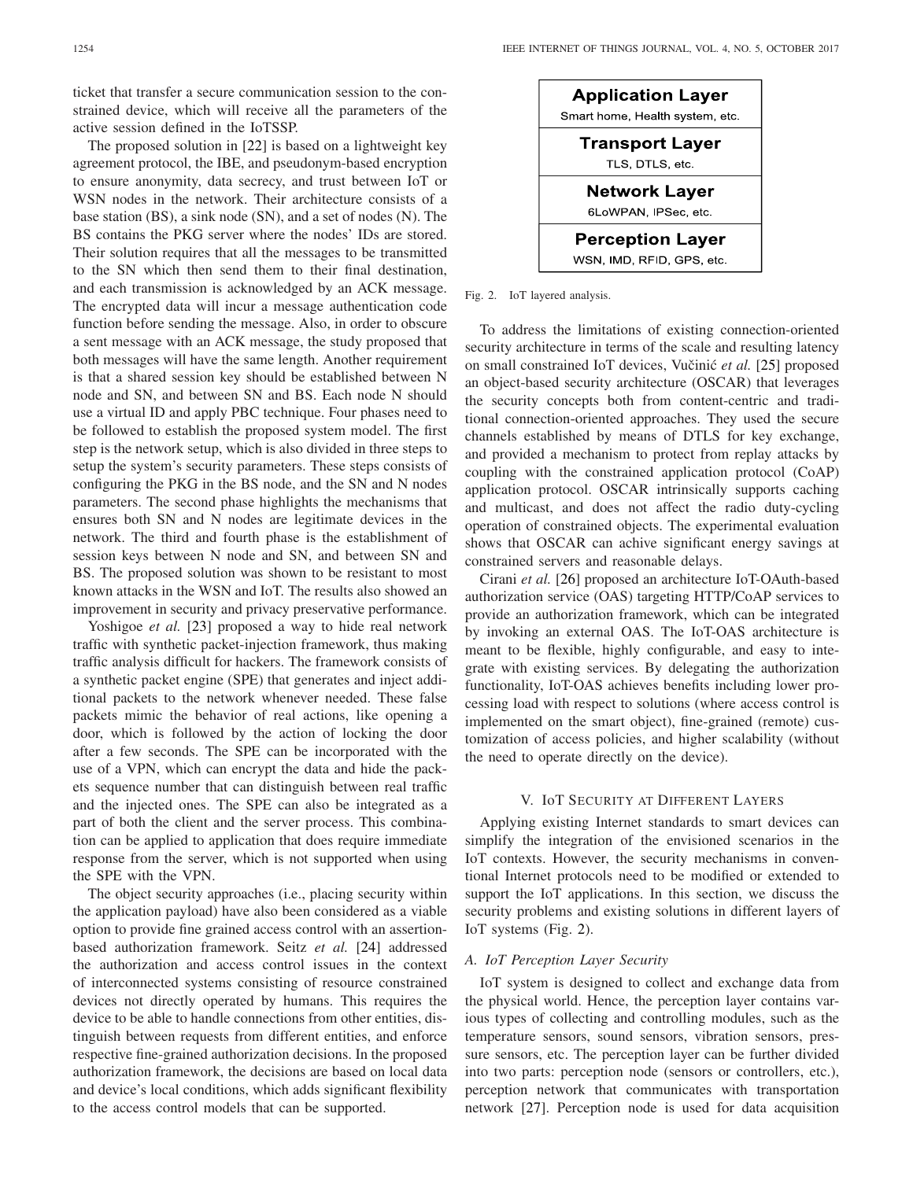ticket that transfer a secure communication session to the constrained device, which will receive all the parameters of the active session defined in the IoTSSP.

The proposed solution in [22] is based on a lightweight key agreement protocol, the IBE, and pseudonym-based encryption to ensure anonymity, data secrecy, and trust between IoT or WSN nodes in the network. Their architecture consists of a base station (BS), a sink node (SN), and a set of nodes (N). The BS contains the PKG server where the nodes' IDs are stored. Their solution requires that all the messages to be transmitted to the SN which then send them to their final destination, and each transmission is acknowledged by an ACK message. The encrypted data will incur a message authentication code function before sending the message. Also, in order to obscure a sent message with an ACK message, the study proposed that both messages will have the same length. Another requirement is that a shared session key should be established between N node and SN, and between SN and BS. Each node N should use a virtual ID and apply PBC technique. Four phases need to be followed to establish the proposed system model. The first step is the network setup, which is also divided in three steps to setup the system's security parameters. These steps consists of configuring the PKG in the BS node, and the SN and N nodes parameters. The second phase highlights the mechanisms that ensures both SN and N nodes are legitimate devices in the network. The third and fourth phase is the establishment of session keys between N node and SN, and between SN and BS. The proposed solution was shown to be resistant to most known attacks in the WSN and IoT. The results also showed an improvement in security and privacy preservative performance.

Yoshigoe *et al.* [23] proposed a way to hide real network traffic with synthetic packet-injection framework, thus making traffic analysis difficult for hackers. The framework consists of a synthetic packet engine (SPE) that generates and inject additional packets to the network whenever needed. These false packets mimic the behavior of real actions, like opening a door, which is followed by the action of locking the door after a few seconds. The SPE can be incorporated with the use of a VPN, which can encrypt the data and hide the packets sequence number that can distinguish between real traffic and the injected ones. The SPE can also be integrated as a part of both the client and the server process. This combination can be applied to application that does require immediate response from the server, which is not supported when using the SPE with the VPN.

The object security approaches (i.e., placing security within the application payload) have also been considered as a viable option to provide fine grained access control with an assertionbased authorization framework. Seitz *et al.* [24] addressed the authorization and access control issues in the context of interconnected systems consisting of resource constrained devices not directly operated by humans. This requires the device to be able to handle connections from other entities, distinguish between requests from different entities, and enforce respective fine-grained authorization decisions. In the proposed authorization framework, the decisions are based on local data and device's local conditions, which adds significant flexibility to the access control models that can be supported.



Fig. 2. IoT layered analysis.

To address the limitations of existing connection-oriented security architecture in terms of the scale and resulting latency on small constrained IoT devices, Vučinić *et al.* [25] proposed an object-based security architecture (OSCAR) that leverages the security concepts both from content-centric and traditional connection-oriented approaches. They used the secure channels established by means of DTLS for key exchange, and provided a mechanism to protect from replay attacks by coupling with the constrained application protocol (CoAP) application protocol. OSCAR intrinsically supports caching and multicast, and does not affect the radio duty-cycling operation of constrained objects. The experimental evaluation shows that OSCAR can achive significant energy savings at constrained servers and reasonable delays.

Cirani *et al.* [26] proposed an architecture IoT-OAuth-based authorization service (OAS) targeting HTTP/CoAP services to provide an authorization framework, which can be integrated by invoking an external OAS. The IoT-OAS architecture is meant to be flexible, highly configurable, and easy to integrate with existing services. By delegating the authorization functionality, IoT-OAS achieves benefits including lower processing load with respect to solutions (where access control is implemented on the smart object), fine-grained (remote) customization of access policies, and higher scalability (without the need to operate directly on the device).

# V. IoT SECURITY AT DIFFERENT LAYERS

Applying existing Internet standards to smart devices can simplify the integration of the envisioned scenarios in the IoT contexts. However, the security mechanisms in conventional Internet protocols need to be modified or extended to support the IoT applications. In this section, we discuss the security problems and existing solutions in different layers of IoT systems (Fig. 2).

# *A. IoT Perception Layer Security*

IoT system is designed to collect and exchange data from the physical world. Hence, the perception layer contains various types of collecting and controlling modules, such as the temperature sensors, sound sensors, vibration sensors, pressure sensors, etc. The perception layer can be further divided into two parts: perception node (sensors or controllers, etc.), perception network that communicates with transportation network [27]. Perception node is used for data acquisition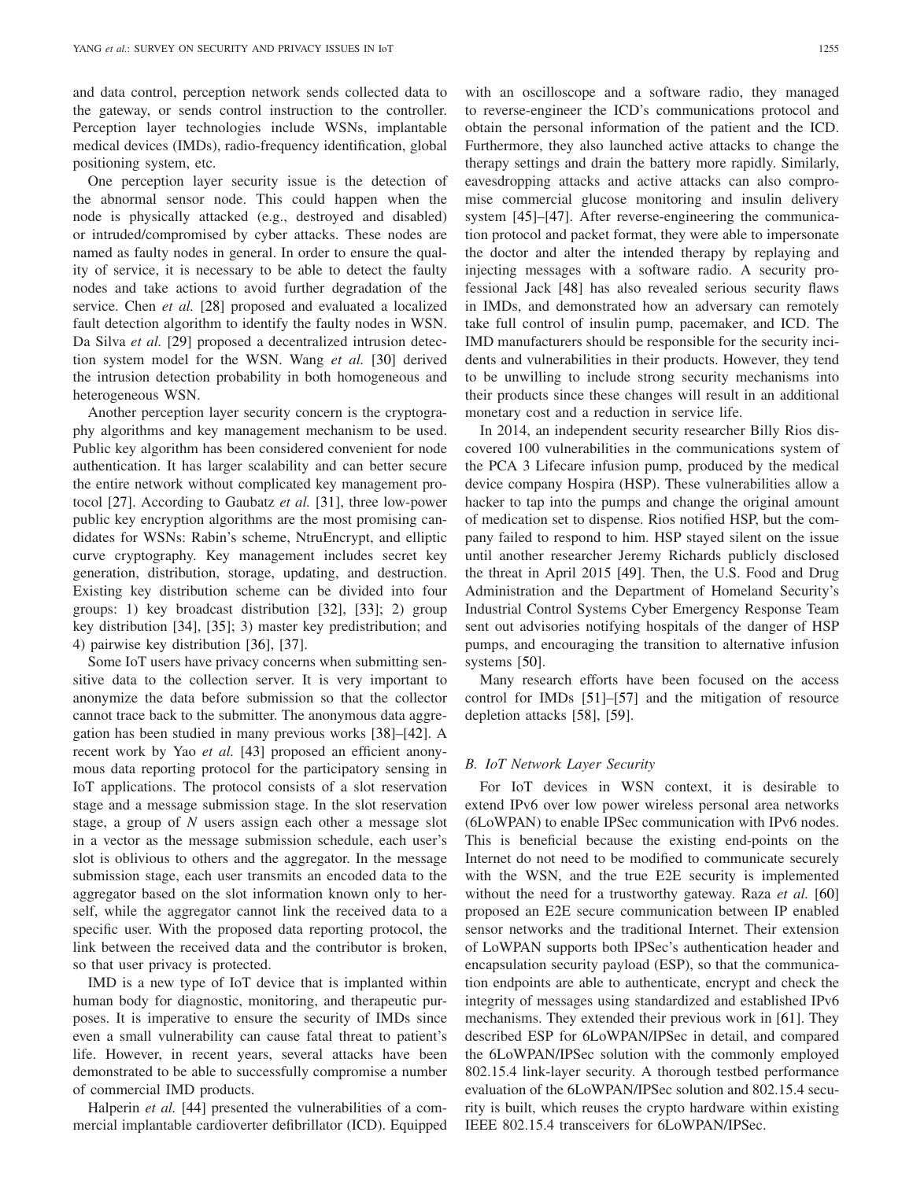and data control, perception network sends collected data to the gateway, or sends control instruction to the controller. Perception layer technologies include WSNs, implantable medical devices (IMDs), radio-frequency identification, global positioning system, etc.

One perception layer security issue is the detection of the abnormal sensor node. This could happen when the node is physically attacked (e.g., destroyed and disabled) or intruded/compromised by cyber attacks. These nodes are named as faulty nodes in general. In order to ensure the quality of service, it is necessary to be able to detect the faulty nodes and take actions to avoid further degradation of the service. Chen *et al.* [28] proposed and evaluated a localized fault detection algorithm to identify the faulty nodes in WSN. Da Silva *et al.* [29] proposed a decentralized intrusion detection system model for the WSN. Wang *et al.* [30] derived the intrusion detection probability in both homogeneous and heterogeneous WSN.

Another perception layer security concern is the cryptography algorithms and key management mechanism to be used. Public key algorithm has been considered convenient for node authentication. It has larger scalability and can better secure the entire network without complicated key management protocol [27]. According to Gaubatz *et al.* [31], three low-power public key encryption algorithms are the most promising candidates for WSNs: Rabin's scheme, NtruEncrypt, and elliptic curve cryptography. Key management includes secret key generation, distribution, storage, updating, and destruction. Existing key distribution scheme can be divided into four groups: 1) key broadcast distribution [32], [33]; 2) group key distribution [34], [35]; 3) master key predistribution; and 4) pairwise key distribution [36], [37].

Some IoT users have privacy concerns when submitting sensitive data to the collection server. It is very important to anonymize the data before submission so that the collector cannot trace back to the submitter. The anonymous data aggregation has been studied in many previous works [38]–[42]. A recent work by Yao *et al.* [43] proposed an efficient anonymous data reporting protocol for the participatory sensing in IoT applications. The protocol consists of a slot reservation stage and a message submission stage. In the slot reservation stage, a group of *N* users assign each other a message slot in a vector as the message submission schedule, each user's slot is oblivious to others and the aggregator. In the message submission stage, each user transmits an encoded data to the aggregator based on the slot information known only to herself, while the aggregator cannot link the received data to a specific user. With the proposed data reporting protocol, the link between the received data and the contributor is broken, so that user privacy is protected.

IMD is a new type of IoT device that is implanted within human body for diagnostic, monitoring, and therapeutic purposes. It is imperative to ensure the security of IMDs since even a small vulnerability can cause fatal threat to patient's life. However, in recent years, several attacks have been demonstrated to be able to successfully compromise a number of commercial IMD products.

Halperin *et al.* [44] presented the vulnerabilities of a commercial implantable cardioverter defibrillator (ICD). Equipped with an oscilloscope and a software radio, they managed to reverse-engineer the ICD's communications protocol and obtain the personal information of the patient and the ICD. Furthermore, they also launched active attacks to change the therapy settings and drain the battery more rapidly. Similarly, eavesdropping attacks and active attacks can also compromise commercial glucose monitoring and insulin delivery system [45]–[47]. After reverse-engineering the communication protocol and packet format, they were able to impersonate the doctor and alter the intended therapy by replaying and injecting messages with a software radio. A security professional Jack [48] has also revealed serious security flaws in IMDs, and demonstrated how an adversary can remotely take full control of insulin pump, pacemaker, and ICD. The IMD manufacturers should be responsible for the security incidents and vulnerabilities in their products. However, they tend to be unwilling to include strong security mechanisms into their products since these changes will result in an additional monetary cost and a reduction in service life.

In 2014, an independent security researcher Billy Rios discovered 100 vulnerabilities in the communications system of the PCA 3 Lifecare infusion pump, produced by the medical device company Hospira (HSP). These vulnerabilities allow a hacker to tap into the pumps and change the original amount of medication set to dispense. Rios notified HSP, but the company failed to respond to him. HSP stayed silent on the issue until another researcher Jeremy Richards publicly disclosed the threat in April 2015 [49]. Then, the U.S. Food and Drug Administration and the Department of Homeland Security's Industrial Control Systems Cyber Emergency Response Team sent out advisories notifying hospitals of the danger of HSP pumps, and encouraging the transition to alternative infusion systems [50].

Many research efforts have been focused on the access control for IMDs [51]–[57] and the mitigation of resource depletion attacks [58], [59].

## *B. IoT Network Layer Security*

For IoT devices in WSN context, it is desirable to extend IPv6 over low power wireless personal area networks (6LoWPAN) to enable IPSec communication with IPv6 nodes. This is beneficial because the existing end-points on the Internet do not need to be modified to communicate securely with the WSN, and the true E2E security is implemented without the need for a trustworthy gateway. Raza *et al.* [60] proposed an E2E secure communication between IP enabled sensor networks and the traditional Internet. Their extension of LoWPAN supports both IPSec's authentication header and encapsulation security payload (ESP), so that the communication endpoints are able to authenticate, encrypt and check the integrity of messages using standardized and established IPv6 mechanisms. They extended their previous work in [61]. They described ESP for 6LoWPAN/IPSec in detail, and compared the 6LoWPAN/IPSec solution with the commonly employed 802.15.4 link-layer security. A thorough testbed performance evaluation of the 6LoWPAN/IPSec solution and 802.15.4 security is built, which reuses the crypto hardware within existing IEEE 802.15.4 transceivers for 6LoWPAN/IPSec.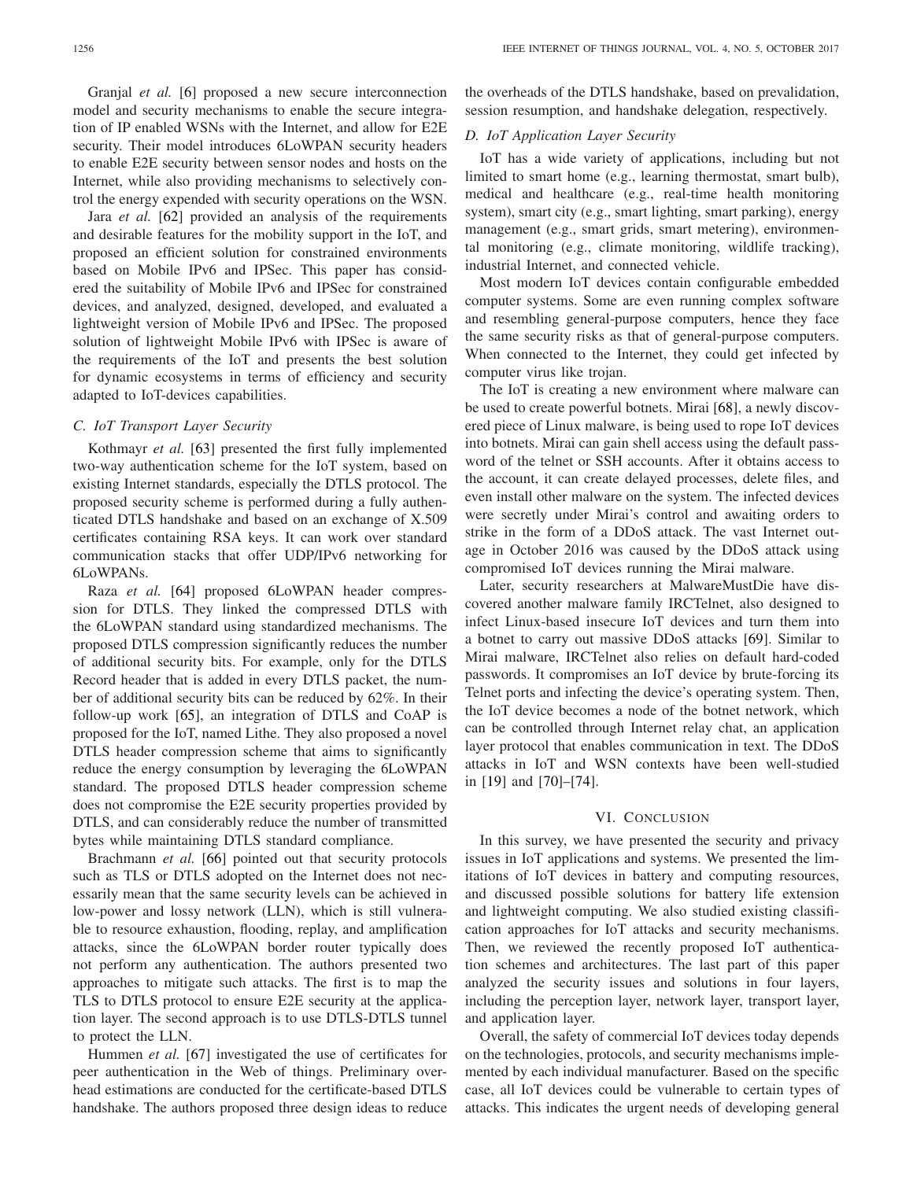Granjal *et al.* [6] proposed a new secure interconnection model and security mechanisms to enable the secure integration of IP enabled WSNs with the Internet, and allow for E2E security. Their model introduces 6LoWPAN security headers to enable E2E security between sensor nodes and hosts on the Internet, while also providing mechanisms to selectively control the energy expended with security operations on the WSN.

Jara *et al.* [62] provided an analysis of the requirements and desirable features for the mobility support in the IoT, and proposed an efficient solution for constrained environments based on Mobile IPv6 and IPSec. This paper has considered the suitability of Mobile IPv6 and IPSec for constrained devices, and analyzed, designed, developed, and evaluated a lightweight version of Mobile IPv6 and IPSec. The proposed solution of lightweight Mobile IPv6 with IPSec is aware of the requirements of the IoT and presents the best solution for dynamic ecosystems in terms of efficiency and security adapted to IoT-devices capabilities.

## *C. IoT Transport Layer Security*

Kothmayr *et al.* [63] presented the first fully implemented two-way authentication scheme for the IoT system, based on existing Internet standards, especially the DTLS protocol. The proposed security scheme is performed during a fully authenticated DTLS handshake and based on an exchange of X.509 certificates containing RSA keys. It can work over standard communication stacks that offer UDP/IPv6 networking for 6LoWPANs.

Raza *et al.* [64] proposed 6LoWPAN header compression for DTLS. They linked the compressed DTLS with the 6LoWPAN standard using standardized mechanisms. The proposed DTLS compression significantly reduces the number of additional security bits. For example, only for the DTLS Record header that is added in every DTLS packet, the number of additional security bits can be reduced by 62%. In their follow-up work [65], an integration of DTLS and CoAP is proposed for the IoT, named Lithe. They also proposed a novel DTLS header compression scheme that aims to significantly reduce the energy consumption by leveraging the 6LoWPAN standard. The proposed DTLS header compression scheme does not compromise the E2E security properties provided by DTLS, and can considerably reduce the number of transmitted bytes while maintaining DTLS standard compliance.

Brachmann *et al.* [66] pointed out that security protocols such as TLS or DTLS adopted on the Internet does not necessarily mean that the same security levels can be achieved in low-power and lossy network (LLN), which is still vulnerable to resource exhaustion, flooding, replay, and amplification attacks, since the 6LoWPAN border router typically does not perform any authentication. The authors presented two approaches to mitigate such attacks. The first is to map the TLS to DTLS protocol to ensure E2E security at the application layer. The second approach is to use DTLS-DTLS tunnel to protect the LLN.

Hummen *et al.* [67] investigated the use of certificates for peer authentication in the Web of things. Preliminary overhead estimations are conducted for the certificate-based DTLS handshake. The authors proposed three design ideas to reduce the overheads of the DTLS handshake, based on prevalidation, session resumption, and handshake delegation, respectively.

### *D. IoT Application Layer Security*

IoT has a wide variety of applications, including but not limited to smart home (e.g., learning thermostat, smart bulb), medical and healthcare (e.g., real-time health monitoring system), smart city (e.g., smart lighting, smart parking), energy management (e.g., smart grids, smart metering), environmental monitoring (e.g., climate monitoring, wildlife tracking), industrial Internet, and connected vehicle.

Most modern IoT devices contain configurable embedded computer systems. Some are even running complex software and resembling general-purpose computers, hence they face the same security risks as that of general-purpose computers. When connected to the Internet, they could get infected by computer virus like trojan.

The IoT is creating a new environment where malware can be used to create powerful botnets. Mirai [68], a newly discovered piece of Linux malware, is being used to rope IoT devices into botnets. Mirai can gain shell access using the default password of the telnet or SSH accounts. After it obtains access to the account, it can create delayed processes, delete files, and even install other malware on the system. The infected devices were secretly under Mirai's control and awaiting orders to strike in the form of a DDoS attack. The vast Internet outage in October 2016 was caused by the DDoS attack using compromised IoT devices running the Mirai malware.

Later, security researchers at MalwareMustDie have discovered another malware family IRCTelnet, also designed to infect Linux-based insecure IoT devices and turn them into a botnet to carry out massive DDoS attacks [69]. Similar to Mirai malware, IRCTelnet also relies on default hard-coded passwords. It compromises an IoT device by brute-forcing its Telnet ports and infecting the device's operating system. Then, the IoT device becomes a node of the botnet network, which can be controlled through Internet relay chat, an application layer protocol that enables communication in text. The DDoS attacks in IoT and WSN contexts have been well-studied in [19] and [70]–[74].

#### VI. CONCLUSION

In this survey, we have presented the security and privacy issues in IoT applications and systems. We presented the limitations of IoT devices in battery and computing resources, and discussed possible solutions for battery life extension and lightweight computing. We also studied existing classification approaches for IoT attacks and security mechanisms. Then, we reviewed the recently proposed IoT authentication schemes and architectures. The last part of this paper analyzed the security issues and solutions in four layers, including the perception layer, network layer, transport layer, and application layer.

Overall, the safety of commercial IoT devices today depends on the technologies, protocols, and security mechanisms implemented by each individual manufacturer. Based on the specific case, all IoT devices could be vulnerable to certain types of attacks. This indicates the urgent needs of developing general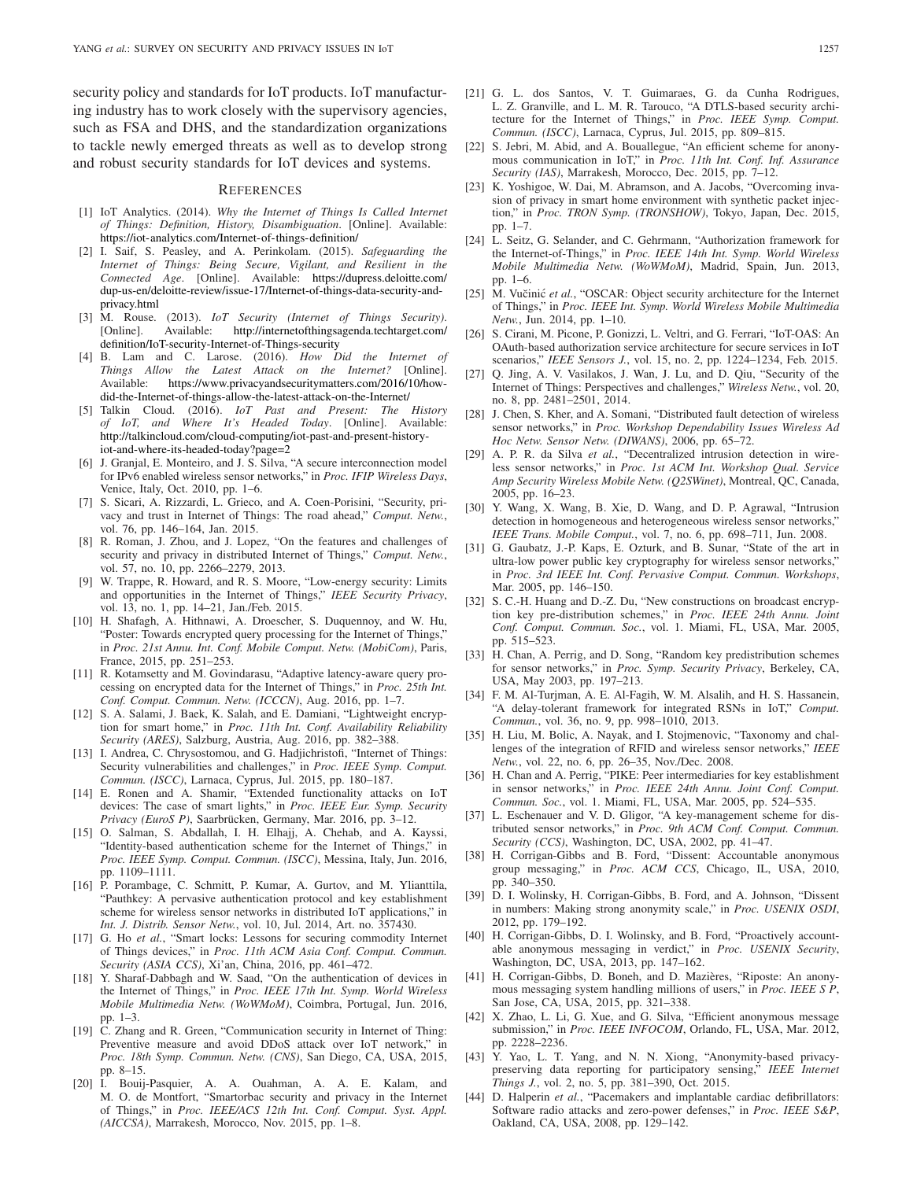security policy and standards for IoT products. IoT manufacturing industry has to work closely with the supervisory agencies, such as FSA and DHS, and the standardization organizations to tackle newly emerged threats as well as to develop strong and robust security standards for IoT devices and systems.

#### **REFERENCES**

- [1] IoT Analytics. (2014). *Why the Internet of Things Is Called Internet of Things: Definition, History, Disambiguation*. [Online]. Available: https://iot-analytics*.*com/Internet-of-things-definition/
- [2] I. Saif, S. Peasley, and A. Perinkolam. (2015). *Safeguarding the Internet of Things: Being Secure, Vigilant, and Resilient in the Connected Age*. [Online]. Available: https://dupress.deloitte.com/ dup-us-en/deloitte-review/issue-17/Internet-of-things-data-security-andprivacy.html
- [3] M. Rouse. (2013). *IoT Security (Internet of Things Security)*. [Online]. Available: http://internetofthingsagenda.techtarget.com/ definition/IoT-security-Internet-of-Things-security
- [4] B. Lam and C. Larose. (2016). *How Did the Internet of Things Allow the Latest Attack on the Internet?* [Online]. Available: https://www.privacyandsecuritymatters.com/2016/10/howdid-the-Internet-of-things-allow-the-latest-attack-on-the-Internet/
- [5] Talkin Cloud. (2016). *IoT Past and Present: The History of IoT, and Where It's Headed Today*. [Online]. Available: http://talkincloud.com/cloud-computing/iot-past-and-present-historyiot-and-where-its-headed-today?page=2
- [6] J. Granjal, E. Monteiro, and J. S. Silva, "A secure interconnection model for IPv6 enabled wireless sensor networks," in *Proc. IFIP Wireless Days*, Venice, Italy, Oct. 2010, pp. 1–6.
- [7] S. Sicari, A. Rizzardi, L. Grieco, and A. Coen-Porisini, "Security, privacy and trust in Internet of Things: The road ahead," *Comput. Netw.*, vol. 76, pp. 146–164, Jan. 2015.
- [8] R. Roman, J. Zhou, and J. Lopez, "On the features and challenges of security and privacy in distributed Internet of Things," *Comput. Netw.*, vol. 57, no. 10, pp. 2266–2279, 2013.
- W. Trappe, R. Howard, and R. S. Moore, "Low-energy security: Limits and opportunities in the Internet of Things," *IEEE Security Privacy*, vol. 13, no. 1, pp. 14–21, Jan./Feb. 2015.
- [10] H. Shafagh, A. Hithnawi, A. Droescher, S. Duquennoy, and W. Hu, "Poster: Towards encrypted query processing for the Internet of Things," in *Proc. 21st Annu. Int. Conf. Mobile Comput. Netw. (MobiCom)*, Paris, France, 2015, pp. 251–253.
- [11] R. Kotamsetty and M. Govindarasu, "Adaptive latency-aware query processing on encrypted data for the Internet of Things," in *Proc. 25th Int. Conf. Comput. Commun. Netw. (ICCCN)*, Aug. 2016, pp. 1–7.
- [12] S. A. Salami, J. Baek, K. Salah, and E. Damiani, "Lightweight encryption for smart home," in *Proc. 11th Int. Conf. Availability Reliability Security (ARES)*, Salzburg, Austria, Aug. 2016, pp. 382–388.
- [13] I. Andrea, C. Chrysostomou, and G. Hadjichristofi, "Internet of Things: Security vulnerabilities and challenges," in *Proc. IEEE Symp. Comput. Commun. (ISCC)*, Larnaca, Cyprus, Jul. 2015, pp. 180–187.
- [14] E. Ronen and A. Shamir, "Extended functionality attacks on IoT devices: The case of smart lights," in *Proc. IEEE Eur. Symp. Security Privacy (EuroS P)*, Saarbrücken, Germany, Mar. 2016, pp. 3–12.
- [15] O. Salman, S. Abdallah, I. H. Elhajj, A. Chehab, and A. Kayssi, "Identity-based authentication scheme for the Internet of Things," in *Proc. IEEE Symp. Comput. Commun. (ISCC)*, Messina, Italy, Jun. 2016, pp. 1109–1111.
- [16] P. Porambage, C. Schmitt, P. Kumar, A. Gurtov, and M. Ylianttila, "Pauthkey: A pervasive authentication protocol and key establishment scheme for wireless sensor networks in distributed IoT applications," in *Int. J. Distrib. Sensor Netw.*, vol. 10, Jul. 2014, Art. no. 357430.
- [17] G. Ho *et al.*, "Smart locks: Lessons for securing commodity Internet of Things devices," in *Proc. 11th ACM Asia Conf. Comput. Commun. Security (ASIA CCS)*, Xi'an, China, 2016, pp. 461–472.
- [18] Y. Sharaf-Dabbagh and W. Saad, "On the authentication of devices in the Internet of Things," in *Proc. IEEE 17th Int. Symp. World Wireless Mobile Multimedia Netw. (WoWMoM)*, Coimbra, Portugal, Jun. 2016, pp. 1–3.
- [19] C. Zhang and R. Green, "Communication security in Internet of Thing: Preventive measure and avoid DDoS attack over IoT network," in *Proc. 18th Symp. Commun. Netw. (CNS)*, San Diego, CA, USA, 2015, pp. 8–15.
- [20] I. Bouij-Pasquier, A. A. Ouahman, A. A. E. Kalam, and M. O. de Montfort, "Smartorbac security and privacy in the Internet of Things," in *Proc. IEEE/ACS 12th Int. Conf. Comput. Syst. Appl. (AICCSA)*, Marrakesh, Morocco, Nov. 2015, pp. 1–8.
- [21] G. L. dos Santos, V. T. Guimaraes, G. da Cunha Rodrigues, L. Z. Granville, and L. M. R. Tarouco, "A DTLS-based security architecture for the Internet of Things," in *Proc. IEEE Symp. Comput. Commun. (ISCC)*, Larnaca, Cyprus, Jul. 2015, pp. 809–815.
- [22] S. Jebri, M. Abid, and A. Bouallegue, "An efficient scheme for anonymous communication in IoT," in *Proc. 11th Int. Conf. Inf. Assurance Security (IAS)*, Marrakesh, Morocco, Dec. 2015, pp. 7–12.
- [23] K. Yoshigoe, W. Dai, M. Abramson, and A. Jacobs, "Overcoming invasion of privacy in smart home environment with synthetic packet injection," in *Proc. TRON Symp. (TRONSHOW)*, Tokyo, Japan, Dec. 2015, pp. 1–7.
- [24] L. Seitz, G. Selander, and C. Gehrmann, "Authorization framework for the Internet-of-Things," in *Proc. IEEE 14th Int. Symp. World Wireless Mobile Multimedia Netw. (WoWMoM)*, Madrid, Spain, Jun. 2013, pp. 1–6.
- [25] M. Vučinić et al., "OSCAR: Object security architecture for the Internet of Things," in *Proc. IEEE Int. Symp. World Wireless Mobile Multimedia Netw.*, Jun. 2014, pp. 1–10.
- [26] S. Cirani, M. Picone, P. Gonizzi, L. Veltri, and G. Ferrari, "IoT-OAS: An OAuth-based authorization service architecture for secure services in IoT scenarios," *IEEE Sensors J.*, vol. 15, no. 2, pp. 1224–1234, Feb. 2015.
- [27] Q. Jing, A. V. Vasilakos, J. Wan, J. Lu, and D. Qiu, "Security of the Internet of Things: Perspectives and challenges," *Wireless Netw.*, vol. 20, no. 8, pp. 2481–2501, 2014.
- [28] J. Chen, S. Kher, and A. Somani, "Distributed fault detection of wireless sensor networks," in *Proc. Workshop Dependability Issues Wireless Ad Hoc Netw. Sensor Netw. (DIWANS)*, 2006, pp. 65–72.
- [29] A. P. R. da Silva et al., "Decentralized intrusion detection in wireless sensor networks," in *Proc. 1st ACM Int. Workshop Qual. Service Amp Security Wireless Mobile Netw. (Q2SWinet)*, Montreal, QC, Canada, 2005, pp. 16–23.
- [30] Y. Wang, X. Wang, B. Xie, D. Wang, and D. P. Agrawal, "Intrusion detection in homogeneous and heterogeneous wireless sensor networks," *IEEE Trans. Mobile Comput.*, vol. 7, no. 6, pp. 698–711, Jun. 2008.
- [31] G. Gaubatz, J.-P. Kaps, E. Ozturk, and B. Sunar, "State of the art in ultra-low power public key cryptography for wireless sensor networks," in *Proc. 3rd IEEE Int. Conf. Pervasive Comput. Commun. Workshops*, Mar. 2005, pp. 146–150.
- [32] S. C.-H. Huang and D.-Z. Du, "New constructions on broadcast encryption key pre-distribution schemes," in *Proc. IEEE 24th Annu. Joint Conf. Comput. Commun. Soc.*, vol. 1. Miami, FL, USA, Mar. 2005, pp. 515–523.
- [33] H. Chan, A. Perrig, and D. Song, "Random key predistribution schemes for sensor networks," in *Proc. Symp. Security Privacy*, Berkeley, CA, USA, May 2003, pp. 197–213.
- [34] F. M. Al-Turjman, A. E. Al-Fagih, W. M. Alsalih, and H. S. Hassanein, "A delay-tolerant framework for integrated RSNs in IoT," *Comput. Commun.*, vol. 36, no. 9, pp. 998–1010, 2013.
- [35] H. Liu, M. Bolic, A. Nayak, and I. Stojmenovic, "Taxonomy and challenges of the integration of RFID and wireless sensor networks," *IEEE Netw.*, vol. 22, no. 6, pp. 26–35, Nov./Dec. 2008.
- [36] H. Chan and A. Perrig, "PIKE: Peer intermediaries for key establishment in sensor networks," in *Proc. IEEE 24th Annu. Joint Conf. Comput. Commun. Soc.*, vol. 1. Miami, FL, USA, Mar. 2005, pp. 524–535.
- [37] L. Eschenauer and V. D. Gligor, "A key-management scheme for distributed sensor networks," in *Proc. 9th ACM Conf. Comput. Commun. Security (CCS)*, Washington, DC, USA, 2002, pp. 41–47.
- [38] H. Corrigan-Gibbs and B. Ford, "Dissent: Accountable anonymous group messaging," in *Proc. ACM CCS*, Chicago, IL, USA, 2010, pp. 340–350.
- [39] D. I. Wolinsky, H. Corrigan-Gibbs, B. Ford, and A. Johnson, "Dissent in numbers: Making strong anonymity scale," in *Proc. USENIX OSDI*, 2012, pp. 179–192.
- [40] H. Corrigan-Gibbs, D. I. Wolinsky, and B. Ford, "Proactively accountable anonymous messaging in verdict," in *Proc. USENIX Security*, Washington, DC, USA, 2013, pp. 147–162.
- [41] H. Corrigan-Gibbs, D. Boneh, and D. Mazières, "Riposte: An anonymous messaging system handling millions of users," in *Proc. IEEE S P*, San Jose, CA, USA, 2015, pp. 321–338.
- [42] X. Zhao, L. Li, G. Xue, and G. Silva, "Efficient anonymous message submission," in *Proc. IEEE INFOCOM*, Orlando, FL, USA, Mar. 2012, pp. 2228–2236.
- [43] Y. Yao, L. T. Yang, and N. N. Xiong, "Anonymity-based privacypreserving data reporting for participatory sensing," *IEEE Internet Things J.*, vol. 2, no. 5, pp. 381–390, Oct. 2015.
- [44] D. Halperin et al., "Pacemakers and implantable cardiac defibrillators: Software radio attacks and zero-power defenses," in *Proc. IEEE S&P*, Oakland, CA, USA, 2008, pp. 129–142.